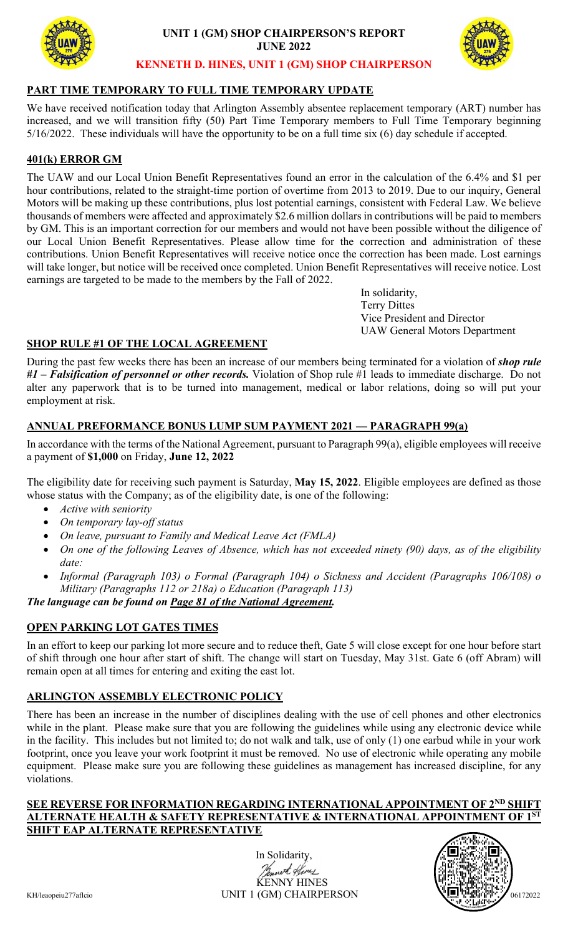

**UNIT 1 (GM) SHOP CHAIRPERSON'S REPORT JUNE 2022**



#### **KENNETH D. HINES, UNIT 1 (GM) SHOP CHAIRPERSON**

### **PART TIME TEMPORARY TO FULL TIME TEMPORARY UPDATE**

We have received notification today that Arlington Assembly absentee replacement temporary (ART) number has increased, and we will transition fifty (50) Part Time Temporary members to Full Time Temporary beginning 5/16/2022. These individuals will have the opportunity to be on a full time six (6) day schedule if accepted.

# **401(k) ERROR GM**

The UAW and our Local Union Benefit Representatives found an error in the calculation of the 6.4% and \$1 per hour contributions, related to the straight-time portion of overtime from 2013 to 2019. Due to our inquiry, General Motors will be making up these contributions, plus lost potential earnings, consistent with Federal Law. We believe thousands of members were affected and approximately \$2.6 million dollars in contributions will be paid to members by GM. This is an important correction for our members and would not have been possible without the diligence of our Local Union Benefit Representatives. Please allow time for the correction and administration of these contributions. Union Benefit Representatives will receive notice once the correction has been made. Lost earnings will take longer, but notice will be received once completed. Union Benefit Representatives will receive notice. Lost earnings are targeted to be made to the members by the Fall of 2022.

> In solidarity, Terry Dittes Vice President and Director UAW General Motors Department

### **SHOP RULE #1 OF THE LOCAL AGREEMENT**

During the past few weeks there has been an increase of our members being terminated for a violation of *shop rule #1 – Falsification of personnel or other records.* Violation of Shop rule #1 leads to immediate discharge. Do not alter any paperwork that is to be turned into management, medical or labor relations, doing so will put your employment at risk.

# **ANNUAL PREFORMANCE BONUS LUMP SUM PAYMENT 2021 — PARAGRAPH 99(a)**

In accordance with the terms of the National Agreement, pursuant to Paragraph 99(a), eligible employees will receive a payment of **\$1,000** on Friday, **June 12, 2022**

The eligibility date for receiving such payment is Saturday, **May 15, 2022**. Eligible employees are defined as those whose status with the Company; as of the eligibility date, is one of the following:

- *Active with seniority*
- *On temporary lay-off status*
- *On leave, pursuant to Family and Medical Leave Act (FMLA)*
- *On one of the following Leaves of Absence, which has not exceeded ninety (90) days, as of the eligibility date:*
- *Informal (Paragraph 103) o Formal (Paragraph 104) o Sickness and Accident (Paragraphs 106/108) o Military (Paragraphs 112 or 218a) o Education (Paragraph 113)*

*The language can be found on Page 81 of the National Agreement.*

### **OPEN PARKING LOT GATES TIMES**

In an effort to keep our parking lot more secure and to reduce theft, Gate 5 will close except for one hour before start of shift through one hour after start of shift. The change will start on Tuesday, May 31st. Gate 6 (off Abram) will remain open at all times for entering and exiting the east lot.

# **ARLINGTON ASSEMBLY ELECTRONIC POLICY**

There has been an increase in the number of disciplines dealing with the use of cell phones and other electronics while in the plant. Please make sure that you are following the guidelines while using any electronic device while in the facility. This includes but not limited to; do not walk and talk, use of only (1) one earbud while in your work footprint, once you leave your work footprint it must be removed. No use of electronic while operating any mobile equipment. Please make sure you are following these guidelines as management has increased discipline, for any violations.

#### **SEE REVERSE FOR INFORMATION REGARDING INTERNATIONAL APPOINTMENT OF 2ND SHIFT ALTERNATE HEALTH & SAFETY REPRESENTATIVE & INTERNATIONAL APPOINTMENT OF 1ST SHIFT EAP ALTERNATE REPRESENTATIVE**

In Solidarity, with Hines **ENNY HINES** KH/leaopeiu277aflcio UNIT 1 (GM) CHAIRPERSON <sup>06172022</sup>